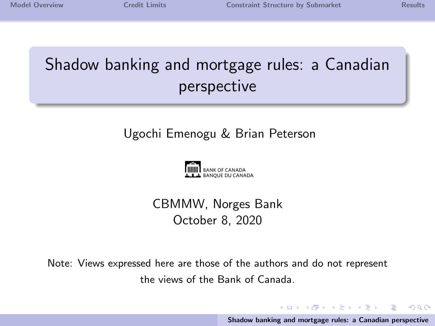$\Omega$ 

# <span id="page-0-0"></span>Shadow banking and mortgage rules: a Canadian perspective

#### Ugochi Emenogu & Brian Peterson



#### CBMMW, Norges Bank October 8, 2020

Note: Views expressed here are those of the authors and do not represent the views of the Bank of Canada.

> イロト イ押 トイモト イモト [Shadow banking and mortgage rules: a Canadian perspective](#page-7-0)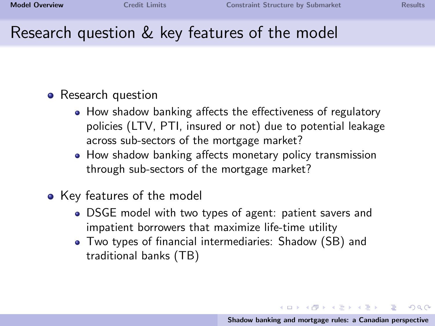$\Omega$ 

### <span id="page-1-0"></span>Research question & key features of the model

#### • Research question

- How shadow banking affects the effectiveness of regulatory policies (LTV, PTI, insured or not) due to potential leakage across sub-sectors of the mortgage market?
- How shadow banking affects monetary policy transmission through sub-sectors of the mortgage market?
- Key features of the model
	- DSGE model with two types of agent: patient savers and impatient borrowers that maximize life-time utility
	- Two types of financial intermediaries: Shadow (SB) and traditional banks (TB)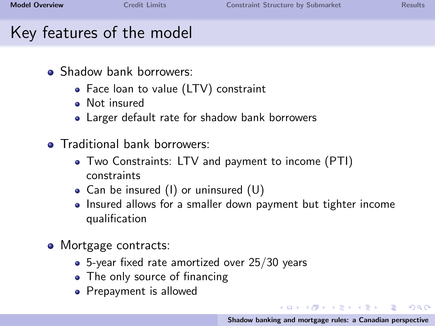$\Omega$ 

## Key features of the model

- Shadow bank borrowers:
	- Face loan to value (LTV) constraint
	- · Not insured
	- Larger default rate for shadow bank borrowers
- **o** Traditional bank borrowers:
	- Two Constraints: LTV and payment to income (PTI) constraints
	- Can be insured (I) or uninsured (U)
	- Insured allows for a smaller down payment but tighter income qualification
- Mortgage contracts:
	- 5-year fixed rate amortized over 25/30 years
	- The only source of financing
	- Prepayment is allowed

イロト イ団 トイ ミト イヨト [Shadow banking and mortgage rules: a Canadian perspective](#page-0-0)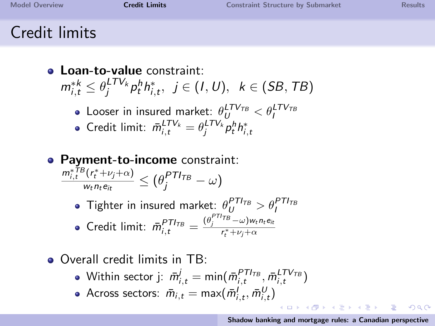へのへ

### <span id="page-3-0"></span>Credit limits

- **.** Loan-to-value constraint:  $m_{i,t}^{*k} \leq \theta_j^{LTV_k} p_t^h h_{i,t}^*, \ \ j \in (1, U), \ \ k \in (SB, TB)$ 
	- Looser in insured market:  $\theta_{U}^{LTV_{TB}} < \theta_{I}^{LTV_{TB}}$
	- Credit limit:  $\bar{m}_{i,t}^{LTV_k} = \theta_j^{LTV_k} p_t^h h_{i,t}^*$
- Payment-to-income constraint:  $m_{i,t}^{*TB}(r_t^*+\nu_j+\alpha)$  $\frac{\gamma(r_t^*+\nu_j+\alpha)}{w_t n_t e_{it}} \leq (\theta_j^{PTI_{TB}} - \omega)$ 
	- Tighter in insured market:  $\theta_{U}^{PT_{TB}} > \theta_{I}^{PT_{TB}}$ Credit limit:  $\bar{m}_{i,t}^{PTI_{TB}} = \frac{(\theta_j^{PTI_{TB}} - \omega)w_t n_t e_{it}}{r_t^* + \omega_j + \alpha}$
- Overall credit limits in TB:
	- Within sector j:  $\bar{m}^j_{i,t} = \text{min}(\bar{m}^{PTT_{TB}}_{i,t}, \bar{m}^{LTV_{TB}}_{i,t})$
	- Across sectors:  $\bar{m}_{i,t} = \text{max}(\bar{m}_{i,t}^l, \bar{m}_{i,t}^U)$

 $(0,1)$   $(0,1)$   $(0,1)$   $(1,1)$   $(1,1)$   $(1,1)$ [Shadow banking and mortgage rules: a Canadian perspective](#page-0-0)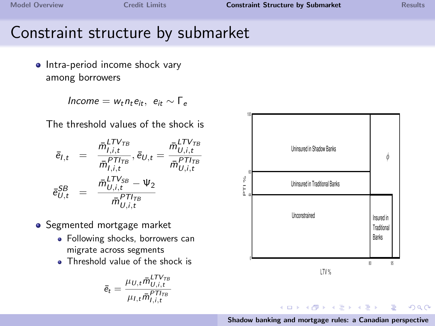### <span id="page-4-0"></span>Constraint structure by submarket

• Intra-period income shock vary among borrowers

 $Income = w_t n_t e_{it}, e_{it} \sim \Gamma_e$ 

The threshold values of the shock is

$$
\begin{array}{rcl} \bar{e}_{l,t} & = & \displaystyle \frac{\bar{m}_{l,i,t}^{lTV_{TB}}}{\bar{m}_{l,i,t}^{pT_{TB}}}, \bar{e}_{U,t} = \frac{\bar{m}_{U,i,t}^{lTV_{TB}}}{\bar{m}_{U,i,t}^{pT_{TB}}}\\ \bar{e}_{U,t}^{SB} & = & \displaystyle \frac{\bar{m}_{U,i,t}^{lTV_{SB}} - \Psi_{2}}{\bar{m}_{U,i,t}^{pT_{TB}}} \end{array}
$$

- Segmented mortgage market
	- Following shocks, borrowers can migrate across segments
	- **Threshold value of the shock is**

$$
\bar{e}_t = \frac{\mu_{U,t} \bar{m}_{U,i,t}^{LTV_{TB}}}{\mu_{I,t} \bar{m}_{I,i,t}^{PT_{TB}}}
$$



[Shadow banking and mortgage rules: a Canadian perspective](#page-0-0)

 $\equiv$ 

 $2Q$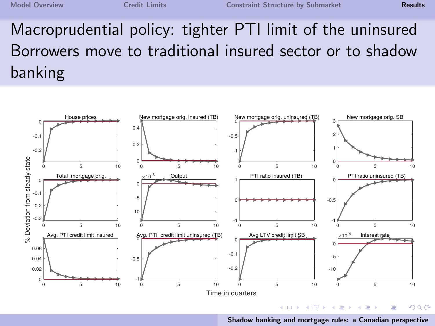<span id="page-5-0"></span>Macroprudential policy: tighter PTI limit of the uninsured Borrowers move to traditional insured sector or to shadow banking



[Shadow banking and mortgage rules: a Canadian perspective](#page-0-0)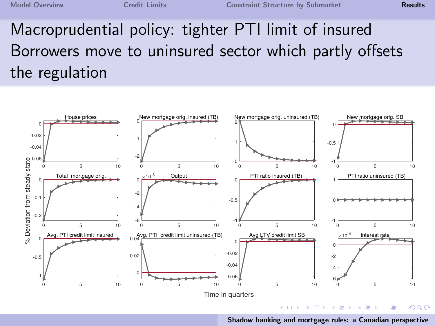# Macroprudential policy: tighter PTI limit of insured Borrowers move to uninsured sector which partly offsets the regulation



[Shadow banking and mortgage rules: a Canadian perspective](#page-0-0)